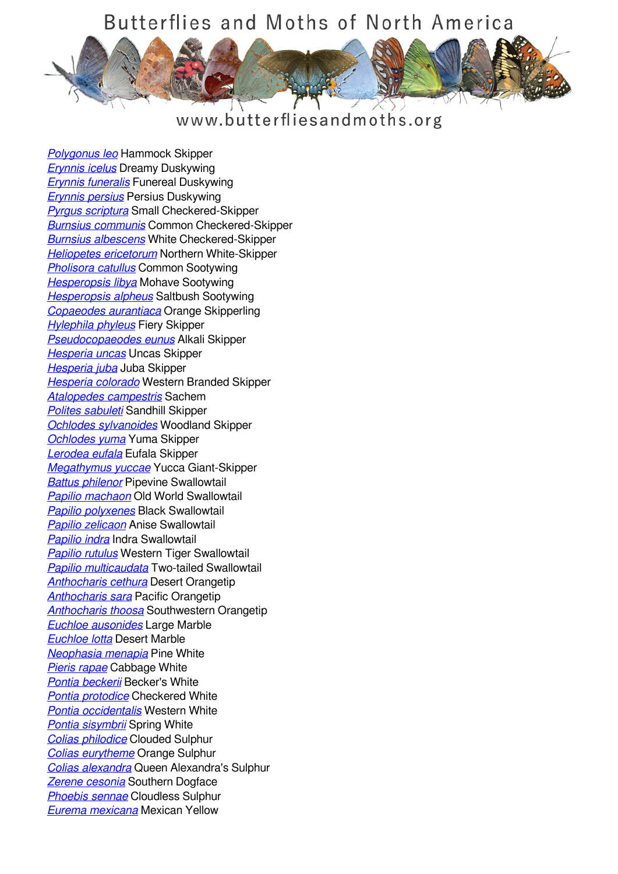

#### www.butterfliesandmoths.org

*[Polygonus leo](/species/Polygonus-leo)* Hammock Skipper *[Erynnis icelus](/species/Erynnis-icelus)* Dreamy Duskywing *[Erynnis funeralis](/species/Erynnis-funeralis)* Funereal Duskywing *[Erynnis persius](/species/Erynnis-persius)* Persius Duskywing *[Pyrgus scriptura](/species/Pyrgus-scriptura)* Small Checkered-Skipper *[Burnsius communis](/species/Pyrgus-communis)* Common Checkered-Skipper *[Burnsius albescens](/species/Pyrgus-albescens)* White Checkered-Skipper *[Heliopetes ericetorum](/species/Heliopetes-ericetorum)* Northern White-Skipper *[Pholisora catullus](/species/Pholisora-catullus)* Common Sootywing *[Hesperopsis libya](/species/Hesperopsis-libya)* Mohave Sootywing *[Hesperopsis alpheus](/species/Hesperopsis-alpheus)* Saltbush Sootywing *[Copaeodes aurantiaca](/species/Copaeodes-aurantiaca)* Orange Skipperling *[Hylephila phyleus](/species/Hylephila-phyleus)* Fiery Skipper *[Pseudocopaeodes eunus](/species/Pseudocopaeodes-eunus)* Alkali Skipper *[Hesperia uncas](/species/Hesperia-uncas)* Uncas Skipper *[Hesperia juba](/species/Hesperia-juba)* Juba Skipper *[Hesperia colorado](/species/Hesperia-colorado)* Western Branded Skipper *[Atalopedes campestris](/species/Atalopedes-campestris)* Sachem *[Polites sabuleti](/species/Polites-sabuleti)* Sandhill Skipper *[Ochlodes sylvanoides](/species/Ochlodes-sylvanoides)* Woodland Skipper *[Ochlodes yuma](/species/Ochlodes-yuma)* Yuma Skipper *[Lerodea eufala](/species/Lerodea-eufala)* Eufala Skipper *[Megathymus yuccae](/species/Megathymus-yuccae)* Yucca Giant-Skipper *[Battus philenor](/species/Battus-philenor)* Pipevine Swallowtail *[Papilio machaon](/species/Papilio-machaon)* Old World Swallowtail *[Papilio polyxenes](/species/Papilio-polyxenes)* Black Swallowtail *[Papilio zelicaon](/species/Papilio-zelicaon)* Anise Swallowtail *[Papilio indra](/species/Papilio-indra)* Indra Swallowtail *[Papilio rutulus](/species/Papilio-rutulus)* Western Tiger Swallowtail *[Papilio multicaudata](/species/Papilio-multicaudata)* Two-tailed Swallowtail *[Anthocharis cethura](/species/Anthocharis-cethura)* Desert Orangetip *[Anthocharis sara](/species/Anthocharis-sara)* Pacific Orangetip *[Anthocharis thoosa](/species/Anthocharis-thoosa)* Southwestern Orangetip *[Euchloe ausonides](/species/Euchloe-ausonides)* Large Marble *[Euchloe lotta](/species/Euchloe-lotta)* Desert Marble *[Neophasia menapia](/species/Neophasia-menapia)* Pine White *[Pieris rapae](/species/Pieris-rapae)* Cabbage White *[Pontia beckerii](/species/Pontia-beckerii)* Becker's White *[Pontia protodice](/species/Pontia-protodice)* Checkered White *[Pontia occidentalis](/species/Pontia-occidentalis)* Western White **[Pontia sisymbrii](/species/Pontia-sisymbrii) Spring White** *[Colias philodice](/species/Colias-philodice)* Clouded Sulphur *[Colias eurytheme](/species/Colias-eurytheme)* Orange Sulphur *[Colias alexandra](/species/Colias-alexandra)* Queen Alexandra's Sulphur *[Zerene cesonia](/species/Zerene-cesonia)* Southern Dogface *[Phoebis sennae](/species/Phoebis-sennae)* Cloudless Sulphur *[Eurema mexicana](/species/Eurema-mexicana)* Mexican Yellow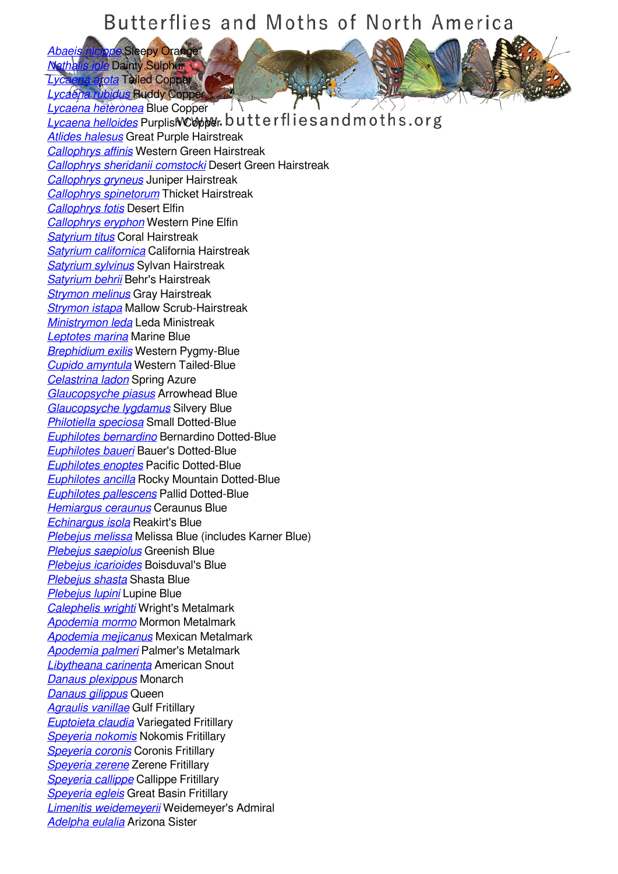*[Abaeis nicippe](/species/Abaeis-nicippe)* Sleepy Orange *[Nathalis iole](/species/Nathalis-iole)* Dainty Sulphur *Lyca Tailed Copper* 

*[Lycaena rubidus](/species/Lycaena-rubidus)* Ruddy Copper *[Lycaena heteronea](/species/Lycaena-heteronea)* Blue Copper

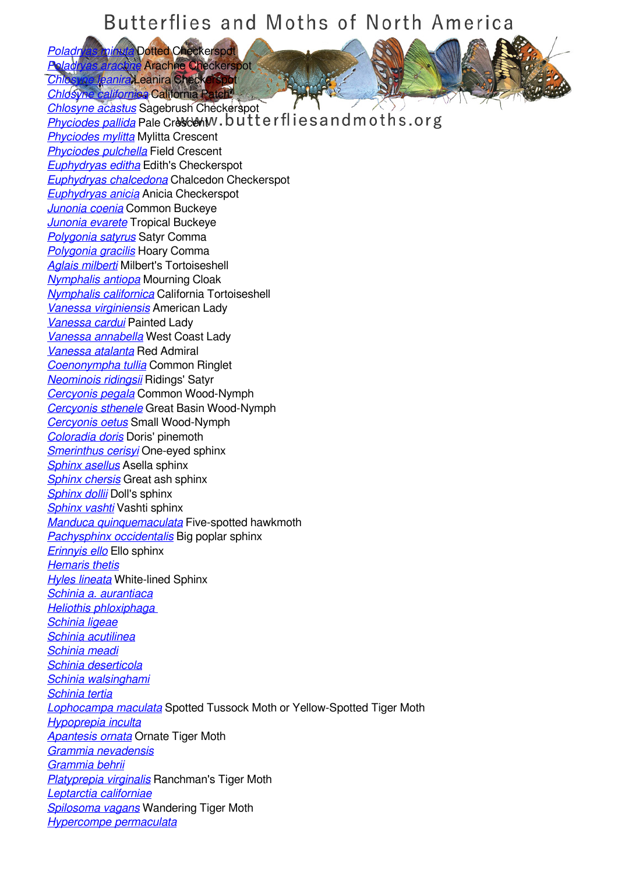*[Poladryas minuta](/species/Poladryas-minuta)* Dotted Checkerspot *[Poladryas arachne](/species/Poladryas-arachne)* Arachne Checkerspot

*Canira* **Leanira** Checkerspot *[Chlosyne californica](/species/Chlosyne-californica)* California Patch *[Chlosyne acastus](/species/Chlosyne-acastus)* Sagebrush Checkerspot *[Phyciodes pallida](/species/Phyciodes-pallida)* Pale Crescent Dividend Let  $f$  lie s and moths.org

*[Phyciodes mylitta](/species/Phyciodes-mylitta)* Mylitta Crescent *[Phyciodes pulchella](/species/Phyciodes-pulchella)* Field Crescent *[Euphydryas editha](/species/Euphydryas-editha)* Edith's Checkerspot *[Euphydryas chalcedona](/species/Euphydryas-chalcedona)* Chalcedon Checkerspot *[Euphydryas anicia](/species/Euphydryas-anicia)* Anicia Checkerspot *[Junonia coenia](/species/Junonia-coenia)* Common Buckeye *[Junonia evarete](/species/Junonia-evarete)* Tropical Buckeye *[Polygonia satyrus](/species/Polygonia-satyrus)* Satyr Comma *[Polygonia gracilis](/species/Polygonia-gracilis)* Hoary Comma *[Aglais milberti](/species/Aglais-milberti)* Milbert's Tortoiseshell *[Nymphalis antiopa](/species/Nymphalis-antiopa)* Mourning Cloak *[Nymphalis californica](/species/Nymphalis-californica)* California Tortoiseshell *[Vanessa virginiensis](/species/Vanessa-virginiensis)* American Lady *[Vanessa cardui](/species/Vanessa-cardui)* Painted Lady *[Vanessa annabella](/species/Vanessa-annabella)* West Coast Lady *[Vanessa atalanta](/species/Vanessa-atalanta)* Red Admiral *[Coenonympha tullia](/species/Coenonympha-tullia)* Common Ringlet *[Neominois ridingsii](/species/Neominois-ridingsii)* Ridings' Satyr *[Cercyonis pegala](/species/Cercyonis-pegala)* Common Wood-Nymph *[Cercyonis sthenele](/species/Cercyonis-sthenele)* Great Basin Wood-Nymph *[Cercyonis oetus](/species/Cercyonis-oetus)* Small Wood-Nymph *[Coloradia doris](/species/Coloradia-doris)* Doris' pinemoth *[Smerinthus cerisyi](/species/Smerinthus-cerisyi)* One-eyed sphinx *[Sphinx asellus](/species/Sphinx-asellus)* Asella sphinx *[Sphinx chersis](/species/Sphinx-chersis)* Great ash sphinx *[Sphinx dollii](/species/Sphinx-dollii)* Doll's sphinx *[Sphinx vashti](/species/Sphinx-vashti)* Vashti sphinx *[Manduca quinquemaculata](/species/Manduca-quinquemaculata)* Five-spotted hawkmoth *[Pachysphinx occidentalis](/species/Pachysphinx-occidentalis)* Big poplar sphinx *[Erinnyis ello](/species/Erinnyis-ello)* Ello sphinx *[Hemaris thetis](/species/Hemaris-thetis) [Hyles lineata](/species/Hyles-lineata)* White-lined Sphinx *[Schinia a. aurantiaca](/species/Schinia-a.-aurantiaca) [Heliothis phloxiphaga](/species/Heliothis-phloxiphaga-)  [Schinia ligeae](/species/Schinia-ligeae) [Schinia acutilinea](/species/Schinia-acutilinea) [Schinia meadi](/species/Schinia-meadi) [Schinia deserticola](/species/Schinia-deserticola) [Schinia walsinghami](/species/Schinia-walsinghami) [Schinia tertia](/species/Schinia-tertia) [Lophocampa maculata](/species/Lophocampa-maculata)* Spotted Tussock Moth or Yellow-Spotted Tiger Moth *[Hypoprepia inculta](/species/Hypoprepia-inculta) [Apantesis ornata](/species/Apantesis-ornata)* Ornate Tiger Moth *[Grammia nevadensis](/species/Grammia-nevadensis) [Grammia behrii](/species/Grammia-behrii) [Platyprepia virginalis](/species/Platyprepia-virginalis)* Ranchman's Tiger Moth *[Leptarctia californiae](/species/Leptarctia-californiae) [Spilosoma vagans](/species/Spilosoma-vagans)* Wandering Tiger Moth *[Hypercompe permaculata](/species/Hypercompe-permaculata)*